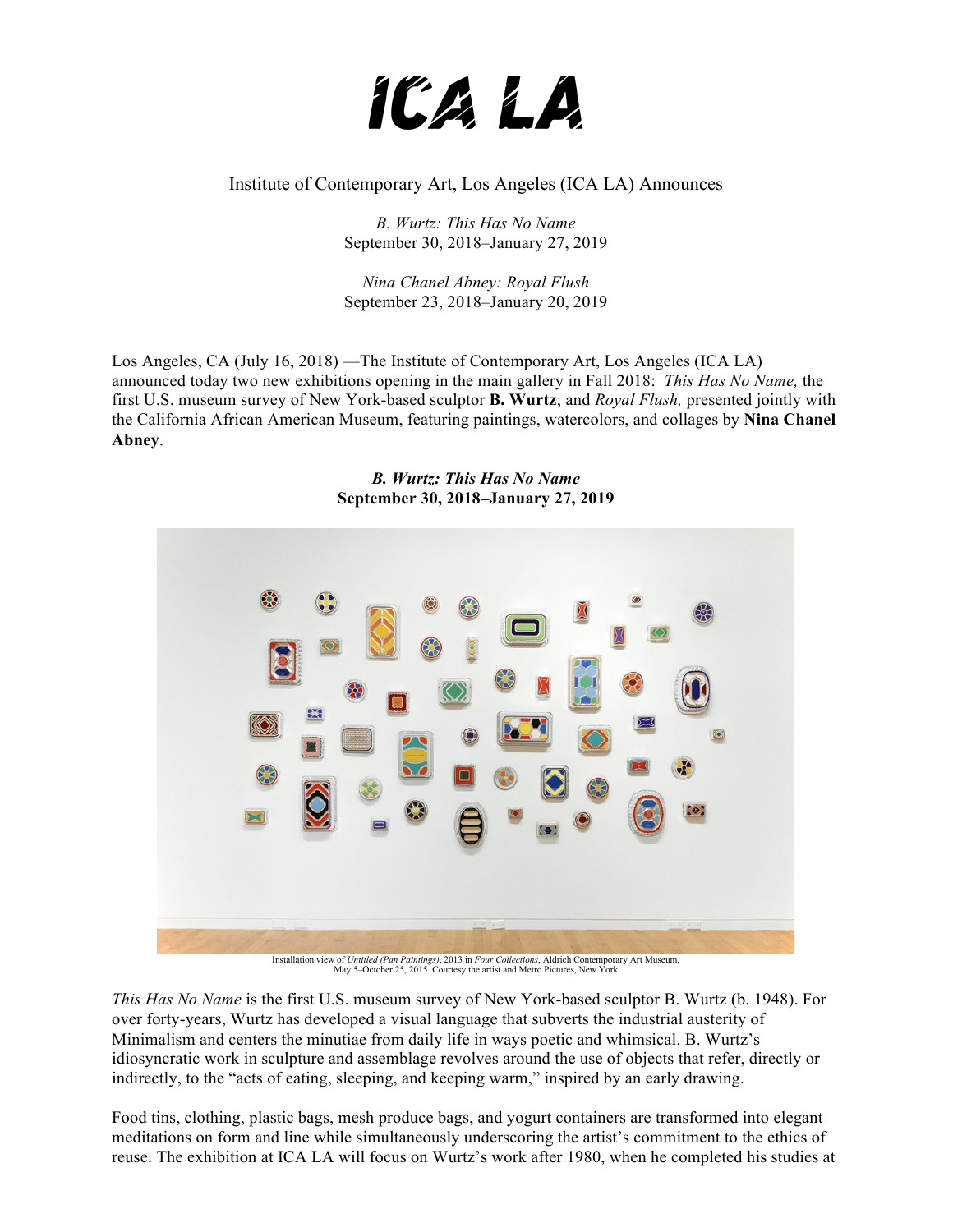

Institute of Contemporary Art, Los Angeles (ICA LA) Announces

*B. Wurtz: This Has No Name*  September 30, 2018–January 27, 2019

*Nina Chanel Abney: Royal Flush* September 23, 2018–January 20, 2019

Los Angeles, CA (July 16, 2018) —The Institute of Contemporary Art, Los Angeles (ICA LA) announced today two new exhibitions opening in the main gallery in Fall 2018: *This Has No Name,* the first U.S. museum survey of New York-based sculptor **B. Wurtz**; and *Royal Flush,* presented jointly with the California African American Museum, featuring paintings, watercolors, and collages by **Nina Chanel Abney**.

> *B. Wurtz: This Has No Name*  **September 30, 2018–January 27, 2019**



Installation view of *Untitled (Pan Paintings)*, 2013 in *Four Collections*, Aldrich Contemporary Art Museum, May 5–October 25, 2015. Courtesy the artist and Metro Pictures, New York

*This Has No Name* is the first U.S. museum survey of New York-based sculptor B. Wurtz (b. 1948). For over forty-years, Wurtz has developed a visual language that subverts the industrial austerity of Minimalism and centers the minutiae from daily life in ways poetic and whimsical. B. Wurtz's idiosyncratic work in sculpture and assemblage revolves around the use of objects that refer, directly or indirectly, to the "acts of eating, sleeping, and keeping warm," inspired by an early drawing.

Food tins, clothing, plastic bags, mesh produce bags, and yogurt containers are transformed into elegant meditations on form and line while simultaneously underscoring the artist's commitment to the ethics of reuse. The exhibition at ICA LA will focus on Wurtz's work after 1980, when he completed his studies at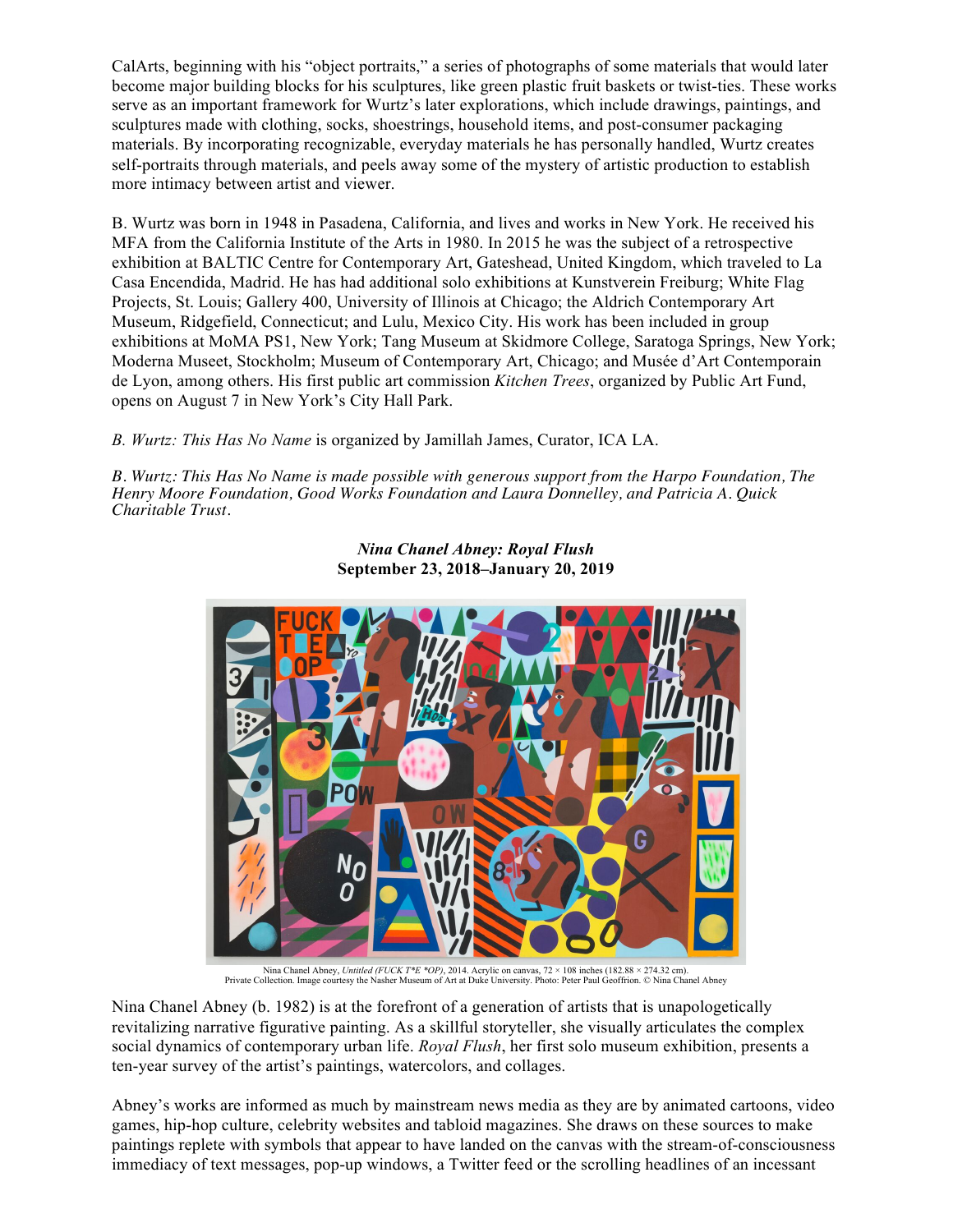CalArts, beginning with his "object portraits," a series of photographs of some materials that would later become major building blocks for his sculptures, like green plastic fruit baskets or twist-ties. These works serve as an important framework for Wurtz's later explorations, which include drawings, paintings, and sculptures made with clothing, socks, shoestrings, household items, and post-consumer packaging materials. By incorporating recognizable, everyday materials he has personally handled, Wurtz creates self-portraits through materials, and peels away some of the mystery of artistic production to establish more intimacy between artist and viewer.

B. Wurtz was born in 1948 in Pasadena, California, and lives and works in New York. He received his MFA from the California Institute of the Arts in 1980. In 2015 he was the subject of a retrospective exhibition at BALTIC Centre for Contemporary Art, Gateshead, United Kingdom, which traveled to La Casa Encendida, Madrid. He has had additional solo exhibitions at Kunstverein Freiburg; White Flag Projects, St. Louis; Gallery 400, University of Illinois at Chicago; the Aldrich Contemporary Art Museum, Ridgefield, Connecticut; and Lulu, Mexico City. His work has been included in group exhibitions at MoMA PS1, New York; Tang Museum at Skidmore College, Saratoga Springs, New York; Moderna Museet, Stockholm; Museum of Contemporary Art, Chicago; and Musée d'Art Contemporain de Lyon, among others. His first public art commission *Kitchen Trees*, organized by Public Art Fund, opens on August 7 in New York's City Hall Park.

*B. Wurtz: This Has No Name* is organized by Jamillah James, Curator, ICA LA.

*B. Wurtz: This Has No Name is made possible with generous support from the Harpo Foundation, The Henry Moore Foundation, Good Works Foundation and Laura Donnelley, and Patricia A. Quick Charitable Trust.*



*Nina Chanel Abney: Royal Flush* **September 23, 2018–January 20, 2019**

Nina Chanel Abney, Untitled (FUCK T\*E \*OP), 2014. Acrylic on canvas, 72 × 108 inches (182.88 × 274.32 cm).<br>Private Collection. Image courtesy the Nasher Museum of Art at Duke University. Photo: Peter Paul Geoffrion. © Nina

Nina Chanel Abney (b. 1982) is at the forefront of a generation of artists that is unapologetically revitalizing narrative figurative painting. As a skillful storyteller, she visually articulates the complex social dynamics of contemporary urban life. *Royal Flush*, her first solo museum exhibition, presents a ten-year survey of the artist's paintings, watercolors, and collages.

Abney's works are informed as much by mainstream news media as they are by animated cartoons, video games, hip-hop culture, celebrity websites and tabloid magazines. She draws on these sources to make paintings replete with symbols that appear to have landed on the canvas with the stream-of-consciousness immediacy of text messages, pop-up windows, a Twitter feed or the scrolling headlines of an incessant